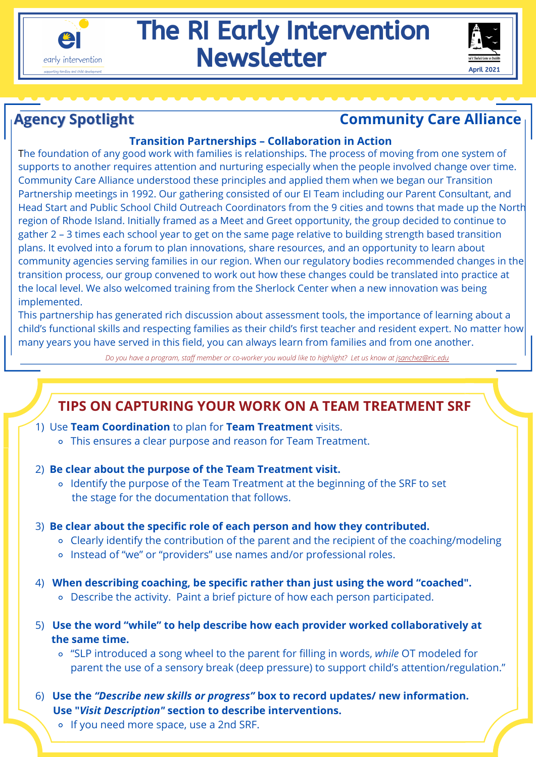

# The RI Early Intervention **Newsletter**



## **Agency Spotlight Community Care Alliance**

#### **Transition Partnerships – Collaboration in Action**

The foundation of any good work with families is relationships. The process of moving from one system of supports to another requires attention and nurturing especially when the people involved change over time. Community Care Alliance understood these principles and applied them when we began our Transition Partnership meetings in 1992. Our gathering consisted of our EI Team including our Parent Consultant, and Head Start and Public School Child Outreach Coordinators from the 9 cities and towns that made up the Nort h region of Rhode Island. Initially framed as a Meet and Greet opportunity, the group decided to continue to gather 2 – 3 times each school year to get on the same page relative to building strength based transition plans. It evolved into a forum to plan innovations, share resources, and an opportunity to learn about community agencies serving families in our region. When our regulatory bodies recommended changes in th e transition process, our group convened to work out how these changes could be translated into practice at the local level. We also welcomed training from the Sherlock Center when a new innovation was being implemented.

This partnership has generated rich discussion about assessment tools, the importance of learning about a child's functional skills and respecting families as their child's first teacher and resident expert. No matter ho w many years you have served in this field, you can always learn from families and from one another.

*Do you have a program, staff member or co-worker you would like to highlight? Let us know at j[sanchez@ric.edu](http://ric.edu/)*

## **TIPS ON CAPTURING YOUR WORK ON A TEAM TREATMENT SRF**

- 1) Use **Team Coordination** to plan for **Team Treatment** visits.
	- This ensures a clear purpose and reason for Team Treatment.
- 2) **Be clear about the purpose of the Team Treatment visit.** 
	- Identify the purpose of the Team Treatment at the beginning of the SRF to set the stage for the documentation that follows.
- 3) **Be clear about the specific role of each person and how they contributed.**
	- Clearly identify the contribution of the parent and the recipient of the coaching/modeling
	- o Instead of "we" or "providers" use names and/or professional roles.
- 4) **When describing coaching, be specific rather than just using the word "coached".**
	- Describe the activity. Paint a brief picture of how each person participated.
- 5) **Use the word "while" to help describe how each provider worked collaboratively at the same time.** 
	- "SLP introduced a song wheel to the parent for filling in words, *while* OT modeled for parent the use of a sensory break (deep pressure) to support child's attention/regulation."
- 6) **Use the** *"Describe new skills or progress"* **box to record updates/ new information. Use "***Visit Description"* **section to describe interventions.** 
	- If you need more space, use a 2nd SRF.